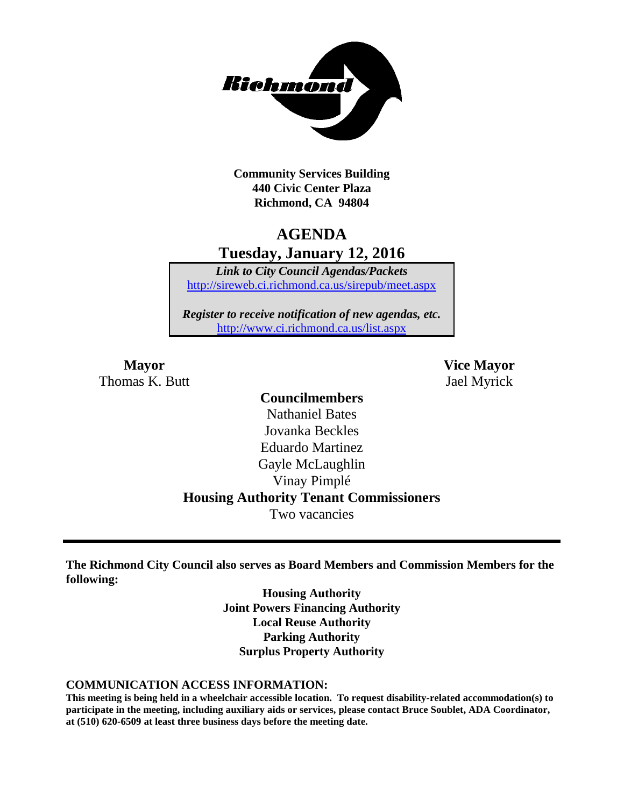

**Community Services Building 440 Civic Center Plaza Richmond, CA 94804**

## **AGENDA Tuesday, January 12, 2016**

*Link to City Council Agendas/Packets* <http://sireweb.ci.richmond.ca.us/sirepub/meet.aspx>

*Register to receive notification of new agendas, etc.* <http://www.ci.richmond.ca.us/list.aspx>

Thomas K. Butt Jael Myrick

**Mayor Vice Mayor**

#### **Councilmembers**

Nathaniel Bates Jovanka Beckles Eduardo Martinez Gayle McLaughlin Vinay Pimplé **Housing Authority Tenant Commissioners** Two vacancies

**The Richmond City Council also serves as Board Members and Commission Members for the following:**

> **Housing Authority Joint Powers Financing Authority Local Reuse Authority Parking Authority Surplus Property Authority**

#### **COMMUNICATION ACCESS INFORMATION:**

**This meeting is being held in a wheelchair accessible location. To request disability-related accommodation(s) to participate in the meeting, including auxiliary aids or services, please contact Bruce Soublet, ADA Coordinator, at (510) 620-6509 at least three business days before the meeting date.**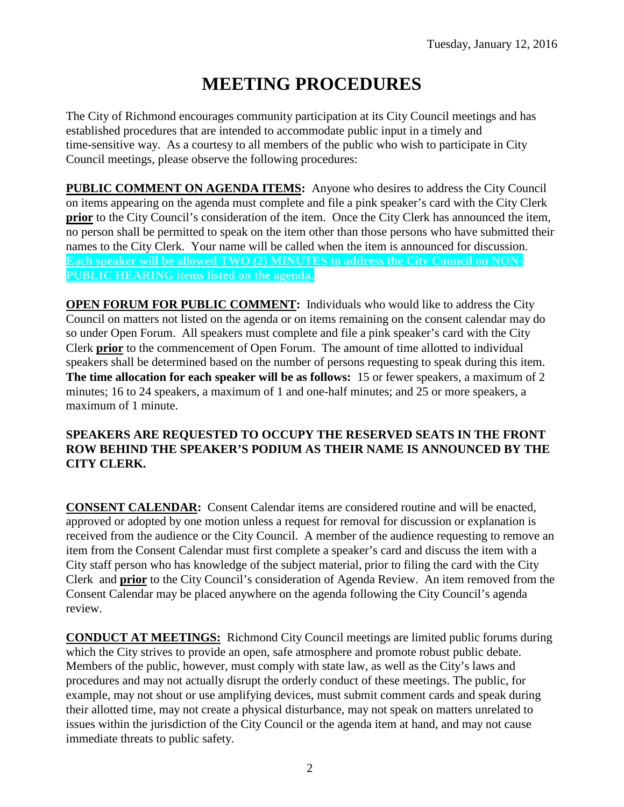# **MEETING PROCEDURES**

The City of Richmond encourages community participation at its City Council meetings and has established procedures that are intended to accommodate public input in a timely and time-sensitive way. As a courtesy to all members of the public who wish to participate in City Council meetings, please observe the following procedures:

**PUBLIC COMMENT ON AGENDA ITEMS:** Anyone who desires to address the City Council on items appearing on the agenda must complete and file a pink speaker's card with the City Clerk **prior** to the City Council's consideration of the item. Once the City Clerk has announced the item, no person shall be permitted to speak on the item other than those persons who have submitted their names to the City Clerk. Your name will be called when the item is announced for discussion. **Each speaker will be allowed TWO (2) MINUTES to address the City Council on NON-PUBLIC HEARING items listed on the agenda.**

**OPEN FORUM FOR PUBLIC COMMENT:** Individuals who would like to address the City Council on matters not listed on the agenda or on items remaining on the consent calendar may do so under Open Forum. All speakers must complete and file a pink speaker's card with the City Clerk **prior** to the commencement of Open Forum. The amount of time allotted to individual speakers shall be determined based on the number of persons requesting to speak during this item. **The time allocation for each speaker will be as follows:** 15 or fewer speakers, a maximum of 2 minutes; 16 to 24 speakers, a maximum of 1 and one-half minutes; and 25 or more speakers, a maximum of 1 minute.

#### **SPEAKERS ARE REQUESTED TO OCCUPY THE RESERVED SEATS IN THE FRONT ROW BEHIND THE SPEAKER'S PODIUM AS THEIR NAME IS ANNOUNCED BY THE CITY CLERK.**

**CONSENT CALENDAR:** Consent Calendar items are considered routine and will be enacted, approved or adopted by one motion unless a request for removal for discussion or explanation is received from the audience or the City Council. A member of the audience requesting to remove an item from the Consent Calendar must first complete a speaker's card and discuss the item with a City staff person who has knowledge of the subject material, prior to filing the card with the City Clerk and **prior** to the City Council's consideration of Agenda Review. An item removed from the Consent Calendar may be placed anywhere on the agenda following the City Council's agenda review.

**CONDUCT AT MEETINGS:** Richmond City Council meetings are limited public forums during which the City strives to provide an open, safe atmosphere and promote robust public debate. Members of the public, however, must comply with state law, as well as the City's laws and procedures and may not actually disrupt the orderly conduct of these meetings. The public, for example, may not shout or use amplifying devices, must submit comment cards and speak during their allotted time, may not create a physical disturbance, may not speak on matters unrelated to issues within the jurisdiction of the City Council or the agenda item at hand, and may not cause immediate threats to public safety.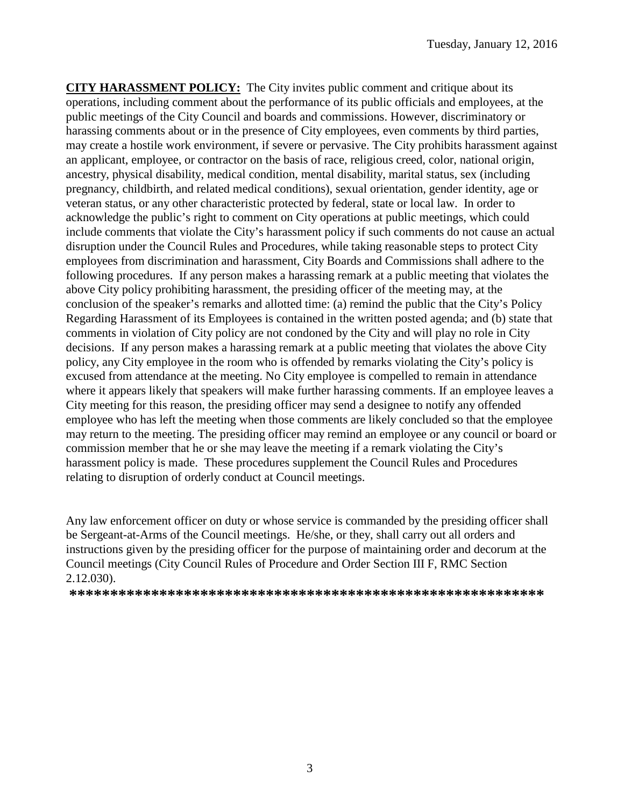**CITY HARASSMENT POLICY:** The City invites public comment and critique about its operations, including comment about the performance of its public officials and employees, at the public meetings of the City Council and boards and commissions. However, discriminatory or harassing comments about or in the presence of City employees, even comments by third parties, may create a hostile work environment, if severe or pervasive. The City prohibits harassment against an applicant, employee, or contractor on the basis of race, religious creed, color, national origin, ancestry, physical disability, medical condition, mental disability, marital status, sex (including pregnancy, childbirth, and related medical conditions), sexual orientation, gender identity, age or veteran status, or any other characteristic protected by federal, state or local law. In order to acknowledge the public's right to comment on City operations at public meetings, which could include comments that violate the City's harassment policy if such comments do not cause an actual disruption under the Council Rules and Procedures, while taking reasonable steps to protect City employees from discrimination and harassment, City Boards and Commissions shall adhere to the following procedures. If any person makes a harassing remark at a public meeting that violates the above City policy prohibiting harassment, the presiding officer of the meeting may, at the conclusion of the speaker's remarks and allotted time: (a) remind the public that the City's Policy Regarding Harassment of its Employees is contained in the written posted agenda; and (b) state that comments in violation of City policy are not condoned by the City and will play no role in City decisions. If any person makes a harassing remark at a public meeting that violates the above City policy, any City employee in the room who is offended by remarks violating the City's policy is excused from attendance at the meeting. No City employee is compelled to remain in attendance where it appears likely that speakers will make further harassing comments. If an employee leaves a City meeting for this reason, the presiding officer may send a designee to notify any offended employee who has left the meeting when those comments are likely concluded so that the employee may return to the meeting. The presiding officer may remind an employee or any council or board or commission member that he or she may leave the meeting if a remark violating the City's harassment policy is made. These procedures supplement the Council Rules and Procedures relating to disruption of orderly conduct at Council meetings.

Any law enforcement officer on duty or whose service is commanded by the presiding officer shall be Sergeant-at-Arms of the Council meetings. He/she, or they, shall carry out all orders and instructions given by the presiding officer for the purpose of maintaining order and decorum at the Council meetings (City Council Rules of Procedure and Order Section III F, RMC Section 2.12.030).

**\*\*\*\*\*\*\*\*\*\*\*\*\*\*\*\*\*\*\*\*\*\*\*\*\*\*\*\*\*\*\*\*\*\*\*\*\*\*\*\*\*\*\*\*\*\*\*\*\*\*\*\*\*\*\*\*\*\***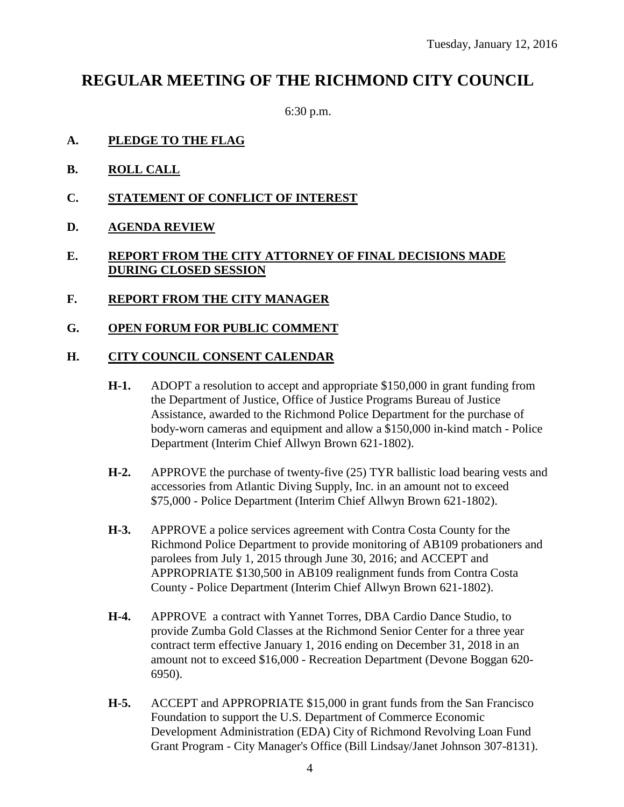## **REGULAR MEETING OF THE RICHMOND CITY COUNCIL**

6:30 p.m.

- **A. PLEDGE TO THE FLAG**
- **B. ROLL CALL**
- **C. STATEMENT OF CONFLICT OF INTEREST**
- **D. AGENDA REVIEW**

#### **E. REPORT FROM THE CITY ATTORNEY OF FINAL DECISIONS MADE DURING CLOSED SESSION**

- **F. REPORT FROM THE CITY MANAGER**
- **G. OPEN FORUM FOR PUBLIC COMMENT**

#### **H. CITY COUNCIL CONSENT CALENDAR**

- **H-1.** ADOPT a resolution to accept and appropriate \$150,000 in grant funding from the Department of Justice, Office of Justice Programs Bureau of Justice Assistance, awarded to the Richmond Police Department for the purchase of body-worn cameras and equipment and allow a \$150,000 in-kind match - Police Department (Interim Chief Allwyn Brown 621-1802).
- **H-2.** APPROVE the purchase of twenty-five (25) TYR ballistic load bearing vests and accessories from Atlantic Diving Supply, Inc. in an amount not to exceed \$75,000 - Police Department (Interim Chief Allwyn Brown 621-1802).
- **H-3.** APPROVE a police services agreement with Contra Costa County for the Richmond Police Department to provide monitoring of AB109 probationers and parolees from July 1, 2015 through June 30, 2016; and ACCEPT and APPROPRIATE \$130,500 in AB109 realignment funds from Contra Costa County - Police Department (Interim Chief Allwyn Brown 621-1802).
- **H-4.** APPROVE a contract with Yannet Torres, DBA Cardio Dance Studio, to provide Zumba Gold Classes at the Richmond Senior Center for a three year contract term effective January 1, 2016 ending on December 31, 2018 in an amount not to exceed \$16,000 - Recreation Department (Devone Boggan 620- 6950).
- **H-5.** ACCEPT and APPROPRIATE \$15,000 in grant funds from the San Francisco Foundation to support the U.S. Department of Commerce Economic Development Administration (EDA) City of Richmond Revolving Loan Fund Grant Program - City Manager's Office (Bill Lindsay/Janet Johnson 307-8131).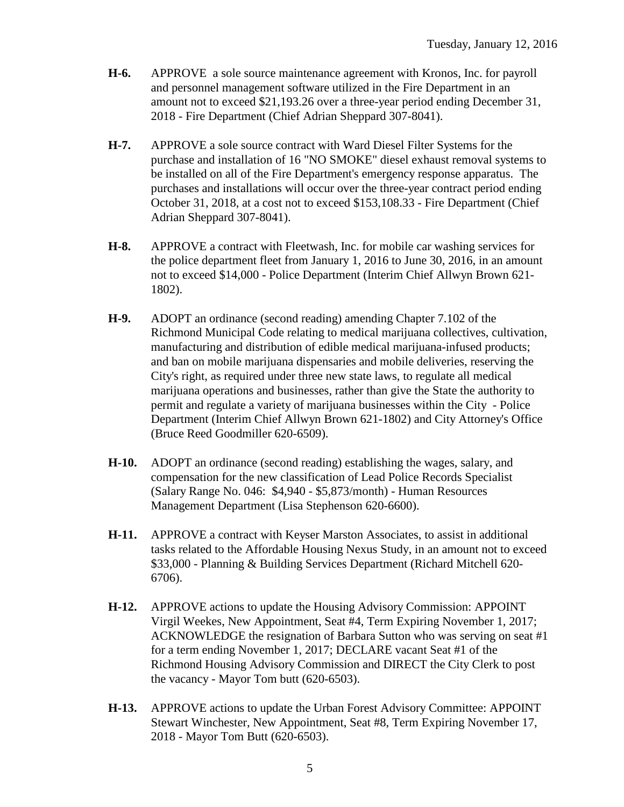- **H-6.** APPROVE a sole source maintenance agreement with Kronos, Inc. for payroll and personnel management software utilized in the Fire Department in an amount not to exceed \$21,193.26 over a three-year period ending December 31, 2018 - Fire Department (Chief Adrian Sheppard 307-8041).
- **H-7.** APPROVE a sole source contract with Ward Diesel Filter Systems for the purchase and installation of 16 "NO SMOKE" diesel exhaust removal systems to be installed on all of the Fire Department's emergency response apparatus. The purchases and installations will occur over the three-year contract period ending October 31, 2018, at a cost not to exceed \$153,108.33 - Fire Department (Chief Adrian Sheppard 307-8041).
- **H-8.** APPROVE a contract with Fleetwash, Inc. for mobile car washing services for the police department fleet from January 1, 2016 to June 30, 2016, in an amount not to exceed \$14,000 - Police Department (Interim Chief Allwyn Brown 621- 1802).
- **H-9.** ADOPT an ordinance (second reading) amending Chapter 7.102 of the Richmond Municipal Code relating to medical marijuana collectives, cultivation, manufacturing and distribution of edible medical marijuana-infused products; and ban on mobile marijuana dispensaries and mobile deliveries, reserving the City's right, as required under three new state laws, to regulate all medical marijuana operations and businesses, rather than give the State the authority to permit and regulate a variety of marijuana businesses within the City - Police Department (Interim Chief Allwyn Brown 621-1802) and City Attorney's Office (Bruce Reed Goodmiller 620-6509).
- **H-10.** ADOPT an ordinance (second reading) establishing the wages, salary, and compensation for the new classification of Lead Police Records Specialist (Salary Range No. 046: \$4,940 - \$5,873/month) - Human Resources Management Department (Lisa Stephenson 620-6600).
- **H-11.** APPROVE a contract with Keyser Marston Associates, to assist in additional tasks related to the Affordable Housing Nexus Study, in an amount not to exceed \$33,000 - Planning & Building Services Department (Richard Mitchell 620- 6706).
- **H-12.** APPROVE actions to update the Housing Advisory Commission: APPOINT Virgil Weekes, New Appointment, Seat #4, Term Expiring November 1, 2017; ACKNOWLEDGE the resignation of Barbara Sutton who was serving on seat #1 for a term ending November 1, 2017; DECLARE vacant Seat #1 of the Richmond Housing Advisory Commission and DIRECT the City Clerk to post the vacancy - Mayor Tom butt (620-6503).
- **H-13.** APPROVE actions to update the Urban Forest Advisory Committee: APPOINT Stewart Winchester, New Appointment, Seat #8, Term Expiring November 17, 2018 - Mayor Tom Butt (620-6503).